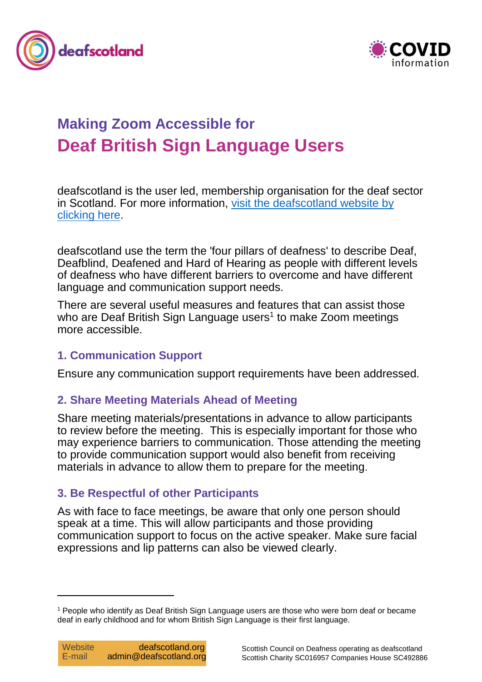



# **Making Zoom Accessible for Deaf British Sign Language Users**

deafscotland is the user led, membership organisation for the deaf sector in Scotland. For more information, [visit the deafscotland website by](https://deafscotland.org/)  [clicking here.](https://deafscotland.org/)

deafscotland use the term the 'four pillars of deafness' to describe Deaf, Deafblind, Deafened and Hard of Hearing as people with different levels of deafness who have different barriers to overcome and have different language and communication support needs.

There are several useful measures and features that can assist those who are Deaf British Sign Language users<sup>1</sup> to make Zoom meetings more accessible.

## **1. Communication Support**

Ensure any communication support requirements have been addressed.

# **2. Share Meeting Materials Ahead of Meeting**

Share meeting materials/presentations in advance to allow participants to review before the meeting. This is especially important for those who may experience barriers to communication. Those attending the meeting to provide communication support would also benefit from receiving materials in advance to allow them to prepare for the meeting.

# **3. Be Respectful of other Participants**

As with face to face meetings, be aware that only one person should speak at a time. This will allow participants and those providing communication support to focus on the active speaker. Make sure facial expressions and lip patterns can also be viewed clearly.

 $\overline{a}$ 

<sup>1</sup> People who identify as Deaf British Sign Language users are those who were born deaf or became deaf in early childhood and for whom British Sign Language is their first language.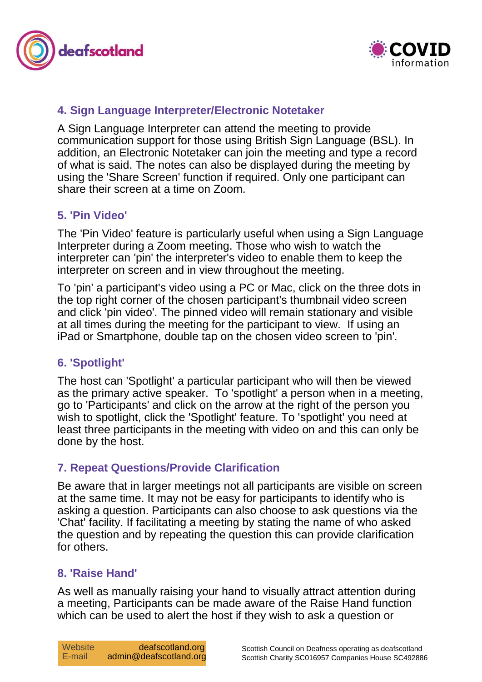



## **4. Sign Language Interpreter/Electronic Notetaker**

A Sign Language Interpreter can attend the meeting to provide communication support for those using British Sign Language (BSL). In addition, an Electronic Notetaker can join the meeting and type a record of what is said. The notes can also be displayed during the meeting by using the 'Share Screen' function if required. Only one participant can share their screen at a time on Zoom.

#### **5. 'Pin Video'**

The 'Pin Video' feature is particularly useful when using a Sign Language Interpreter during a Zoom meeting. Those who wish to watch the interpreter can 'pin' the interpreter's video to enable them to keep the interpreter on screen and in view throughout the meeting.

To 'pin' a participant's video using a PC or Mac, click on the three dots in the top right corner of the chosen participant's thumbnail video screen and click 'pin video'. The pinned video will remain stationary and visible at all times during the meeting for the participant to view. If using an iPad or Smartphone, double tap on the chosen video screen to 'pin'.

## **6. 'Spotlight'**

The host can 'Spotlight' a particular participant who will then be viewed as the primary active speaker. To 'spotlight' a person when in a meeting, go to 'Participants' and click on the arrow at the right of the person you wish to spotlight, click the 'Spotlight' feature. To 'spotlight' you need at least three participants in the meeting with video on and this can only be done by the host.

#### **7. Repeat Questions/Provide Clarification**

Be aware that in larger meetings not all participants are visible on screen at the same time. It may not be easy for participants to identify who is asking a question. Participants can also choose to ask questions via the 'Chat' facility. If facilitating a meeting by stating the name of who asked the question and by repeating the question this can provide clarification for others.

#### **8. 'Raise Hand'**

As well as manually raising your hand to visually attract attention during a meeting, Participants can be made aware of the Raise Hand function which can be used to alert the host if they wish to ask a question or